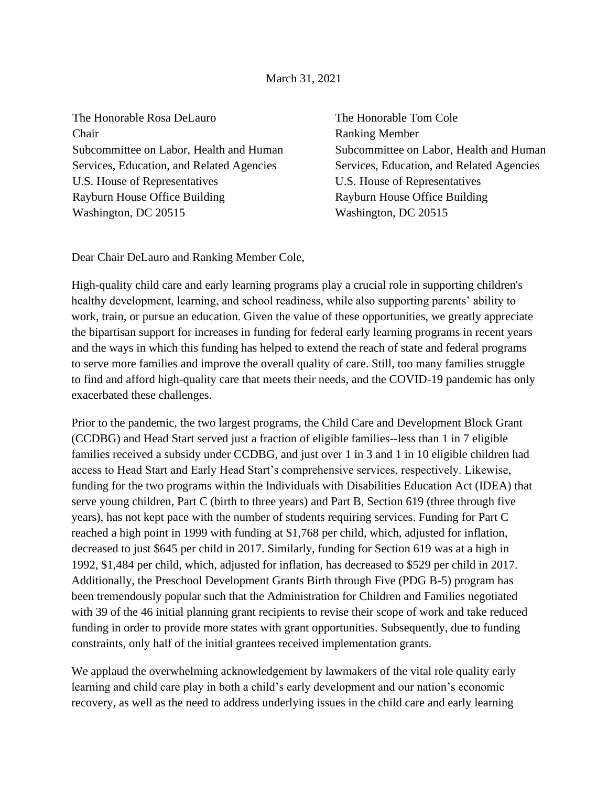The Honorable Rosa DeLauro Chair Subcommittee on Labor, Health and Human Services, Education, and Related Agencies U.S. House of Representatives Rayburn House Office Building Washington, DC 20515

The Honorable Tom Cole Ranking Member Subcommittee on Labor, Health and Human Services, Education, and Related Agencies U.S. House of Representatives Rayburn House Office Building Washington, DC 20515

Dear Chair DeLauro and Ranking Member Cole,

High-quality child care and early learning programs play a crucial role in supporting children's healthy development, learning, and school readiness, while also supporting parents' ability to work, train, or pursue an education. Given the value of these opportunities, we greatly appreciate the bipartisan support for increases in funding for federal early learning programs in recent years and the ways in which this funding has helped to extend the reach of state and federal programs to serve more families and improve the overall quality of care. Still, too many families struggle to find and afford high-quality care that meets their needs, and the COVID-19 pandemic has only exacerbated these challenges.

Prior to the pandemic, the two largest programs, the Child Care and Development Block Grant (CCDBG) and Head Start served just a fraction of eligible families--less than 1 in 7 eligible families received a subsidy under CCDBG, and just over 1 in 3 and 1 in 10 eligible children had access to Head Start and Early Head Start's comprehensive services, respectively. Likewise, funding for the two programs within the Individuals with Disabilities Education Act (IDEA) that serve young children, Part C (birth to three years) and Part B, Section 619 (three through five years), has not kept pace with the number of students requiring services. Funding for Part C reached a high point in 1999 with funding at \$1,768 per child, which, adjusted for inflation, decreased to just \$645 per child in 2017. Similarly, funding for Section 619 was at a high in 1992, \$1,484 per child, which, adjusted for inflation, has decreased to \$529 per child in 2017. Additionally, the Preschool Development Grants Birth through Five (PDG B-5) program has been tremendously popular such that the Administration for Children and Families negotiated with 39 of the 46 initial planning grant recipients to revise their scope of work and take reduced funding in order to provide more states with grant opportunities. Subsequently, due to funding constraints, only half of the initial grantees received implementation grants.

We applaud the overwhelming acknowledgement by lawmakers of the vital role quality early learning and child care play in both a child's early development and our nation's economic recovery, as well as the need to address underlying issues in the child care and early learning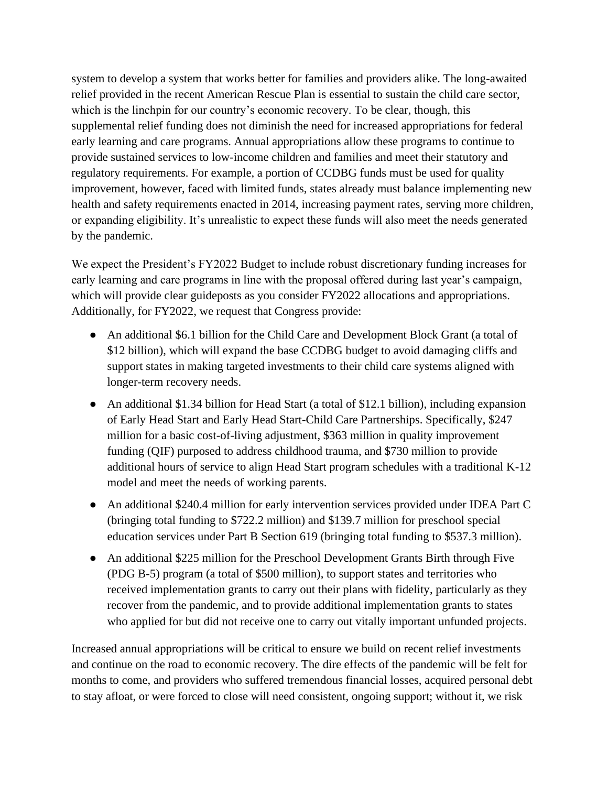system to develop a system that works better for families and providers alike. The long-awaited relief provided in the recent American Rescue Plan is essential to sustain the child care sector, which is the linchpin for our country's economic recovery. To be clear, though, this supplemental relief funding does not diminish the need for increased appropriations for federal early learning and care programs. Annual appropriations allow these programs to continue to provide sustained services to low-income children and families and meet their statutory and regulatory requirements. For example, a portion of CCDBG funds must be used for quality improvement, however, faced with limited funds, states already must balance implementing new health and safety requirements enacted in 2014, increasing payment rates, serving more children, or expanding eligibility. It's unrealistic to expect these funds will also meet the needs generated by the pandemic.

We expect the President's FY2022 Budget to include robust discretionary funding increases for early learning and care programs in line with the proposal offered during last year's campaign, which will provide clear guideposts as you consider FY2022 allocations and appropriations. Additionally, for FY2022, we request that Congress provide:

- An additional \$6.1 billion for the Child Care and Development Block Grant (a total of \$12 billion), which will expand the base CCDBG budget to avoid damaging cliffs and support states in making targeted investments to their child care systems aligned with longer-term recovery needs.
- An additional \$1.34 billion for Head Start (a total of \$12.1 billion), including expansion of Early Head Start and Early Head Start-Child Care Partnerships. Specifically, \$247 million for a basic cost-of-living adjustment, \$363 million in quality improvement funding (QIF) purposed to address childhood trauma, and \$730 million to provide additional hours of service to align Head Start program schedules with a traditional K-12 model and meet the needs of working parents.
- An additional \$240.4 million for early intervention services provided under IDEA Part C (bringing total funding to \$722.2 million) and \$139.7 million for preschool special education services under Part B Section 619 (bringing total funding to \$537.3 million).
- An additional \$225 million for the Preschool Development Grants Birth through Five (PDG B-5) program (a total of \$500 million), to support states and territories who received implementation grants to carry out their plans with fidelity, particularly as they recover from the pandemic, and to provide additional implementation grants to states who applied for but did not receive one to carry out vitally important unfunded projects.

Increased annual appropriations will be critical to ensure we build on recent relief investments and continue on the road to economic recovery. The dire effects of the pandemic will be felt for months to come, and providers who suffered tremendous financial losses, acquired personal debt to stay afloat, or were forced to close will need consistent, ongoing support; without it, we risk